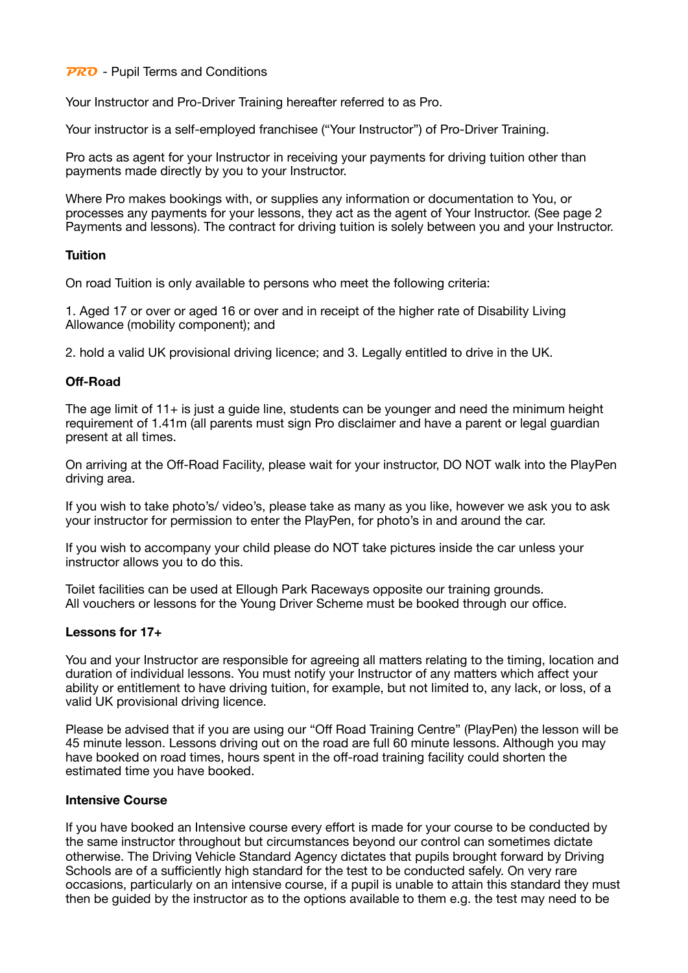# **PRO** - Pupil Terms and Conditions

Your Instructor and Pro-Driver Training hereafter referred to as Pro.

Your instructor is a self-employed franchisee ("Your Instructor") of Pro-Driver Training.

Pro acts as agent for your Instructor in receiving your payments for driving tuition other than payments made directly by you to your Instructor.

Where Pro makes bookings with, or supplies any information or documentation to You, or processes any payments for your lessons, they act as the agent of Your Instructor. (See page 2 Payments and lessons). The contract for driving tuition is solely between you and your Instructor.

# **Tuition**

On road Tuition is only available to persons who meet the following criteria:

1. Aged 17 or over or aged 16 or over and in receipt of the higher rate of Disability Living Allowance (mobility component); and

2. hold a valid UK provisional driving licence; and 3. Legally entitled to drive in the UK.

# **Off-Road**

The age limit of 11+ is just a guide line, students can be younger and need the minimum height requirement of 1.41m (all parents must sign Pro disclaimer and have a parent or legal guardian present at all times.

On arriving at the Off-Road Facility, please wait for your instructor, DO NOT walk into the PlayPen driving area.

If you wish to take photo's/ video's, please take as many as you like, however we ask you to ask your instructor for permission to enter the PlayPen, for photo's in and around the car.

If you wish to accompany your child please do NOT take pictures inside the car unless your instructor allows you to do this.

Toilet facilities can be used at Ellough Park Raceways opposite our training grounds. All vouchers or lessons for the Young Driver Scheme must be booked through our office.

### **Lessons for 17+**

You and your Instructor are responsible for agreeing all matters relating to the timing, location and duration of individual lessons. You must notify your Instructor of any matters which affect your ability or entitlement to have driving tuition, for example, but not limited to, any lack, or loss, of a valid UK provisional driving licence.

Please be advised that if you are using our "Off Road Training Centre" (PlayPen) the lesson will be 45 minute lesson. Lessons driving out on the road are full 60 minute lessons. Although you may have booked on road times, hours spent in the off-road training facility could shorten the estimated time you have booked.

### **Intensive Course**

If you have booked an Intensive course every effort is made for your course to be conducted by the same instructor throughout but circumstances beyond our control can sometimes dictate otherwise. The Driving Vehicle Standard Agency dictates that pupils brought forward by Driving Schools are of a sufficiently high standard for the test to be conducted safely. On very rare occasions, particularly on an intensive course, if a pupil is unable to attain this standard they must then be guided by the instructor as to the options available to them e.g. the test may need to be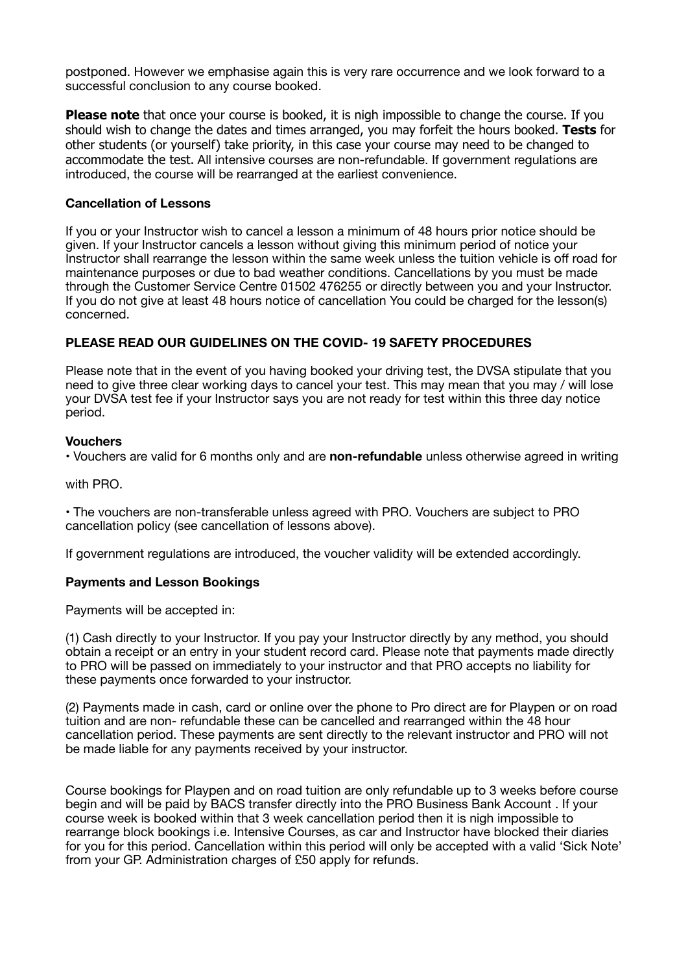postponed. However we emphasise again this is very rare occurrence and we look forward to a successful conclusion to any course booked.

**Please note** that once your course is booked, it is nigh impossible to change the course. If you should wish to change the dates and times arranged, you may forfeit the hours booked. **Tests** for other students (or yourself) take priority, in this case your course may need to be changed to accommodate the test. All intensive courses are non-refundable. If government regulations are introduced, the course will be rearranged at the earliest convenience.

## **Cancellation of Lessons**

If you or your Instructor wish to cancel a lesson a minimum of 48 hours prior notice should be given. If your Instructor cancels a lesson without giving this minimum period of notice your Instructor shall rearrange the lesson within the same week unless the tuition vehicle is off road for maintenance purposes or due to bad weather conditions. Cancellations by you must be made through the Customer Service Centre 01502 476255 or directly between you and your Instructor. If you do not give at least 48 hours notice of cancellation You could be charged for the lesson(s) concerned.

# **PLEASE READ OUR GUIDELINES ON THE COVID- 19 SAFETY PROCEDURES**

Please note that in the event of you having booked your driving test, the DVSA stipulate that you need to give three clear working days to cancel your test. This may mean that you may / will lose your DVSA test fee if your Instructor says you are not ready for test within this three day notice period.

# **Vouchers**

• Vouchers are valid for 6 months only and are **non-refundable** unless otherwise agreed in writing

with PRO.

• The vouchers are non-transferable unless agreed with PRO. Vouchers are subject to PRO cancellation policy (see cancellation of lessons above).

If government regulations are introduced, the voucher validity will be extended accordingly.

# **Payments and Lesson Bookings**

Payments will be accepted in:

(1) Cash directly to your Instructor. If you pay your Instructor directly by any method, you should obtain a receipt or an entry in your student record card. Please note that payments made directly to PRO will be passed on immediately to your instructor and that PRO accepts no liability for these payments once forwarded to your instructor.

(2) Payments made in cash, card or online over the phone to Pro direct are for Playpen or on road tuition and are non- refundable these can be cancelled and rearranged within the 48 hour cancellation period. These payments are sent directly to the relevant instructor and PRO will not be made liable for any payments received by your instructor.

Course bookings for Playpen and on road tuition are only refundable up to 3 weeks before course begin and will be paid by BACS transfer directly into the PRO Business Bank Account . If your course week is booked within that 3 week cancellation period then it is nigh impossible to rearrange block bookings i.e. Intensive Courses, as car and Instructor have blocked their diaries for you for this period. Cancellation within this period will only be accepted with a valid 'Sick Note' from your GP. Administration charges of £50 apply for refunds.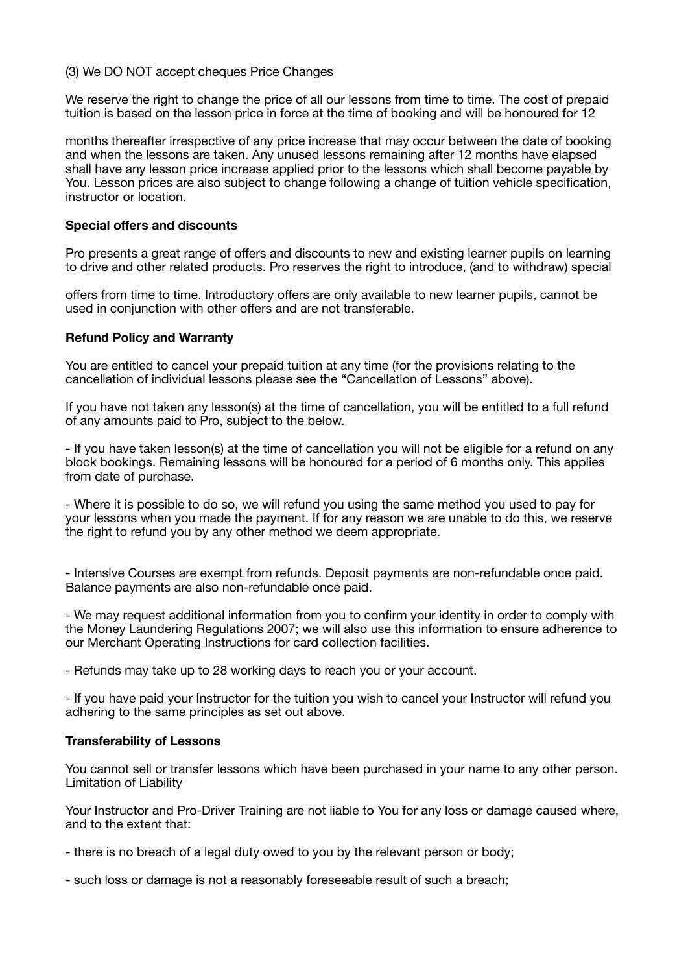(3) We DO NOT accept cheques Price Changes

We reserve the right to change the price of all our lessons from time to time. The cost of prepaid tuition is based on the lesson price in force at the time of booking and will be honoured for 12

months thereafter irrespective of any price increase that may occur between the date of booking and when the lessons are taken. Any unused lessons remaining after 12 months have elapsed shall have any lesson price increase applied prior to the lessons which shall become payable by You. Lesson prices are also subject to change following a change of tuition vehicle specification, instructor or location.

## **Special offers and discounts**

Pro presents a great range of offers and discounts to new and existing learner pupils on learning to drive and other related products. Pro reserves the right to introduce, (and to withdraw) special

offers from time to time. Introductory offers are only available to new learner pupils, cannot be used in conjunction with other offers and are not transferable.

# **Refund Policy and Warranty**

You are entitled to cancel your prepaid tuition at any time (for the provisions relating to the cancellation of individual lessons please see the "Cancellation of Lessons" above).

If you have not taken any lesson(s) at the time of cancellation, you will be entitled to a full refund of any amounts paid to Pro, subject to the below.

- If you have taken lesson(s) at the time of cancellation you will not be eligible for a refund on any block bookings. Remaining lessons will be honoured for a period of 6 months only. This applies from date of purchase.

- Where it is possible to do so, we will refund you using the same method you used to pay for your lessons when you made the payment. If for any reason we are unable to do this, we reserve the right to refund you by any other method we deem appropriate.

- Intensive Courses are exempt from refunds. Deposit payments are non-refundable once paid. Balance payments are also non-refundable once paid.

- We may request additional information from you to confirm your identity in order to comply with the Money Laundering Regulations 2007; we will also use this information to ensure adherence to our Merchant Operating Instructions for card collection facilities.

- Refunds may take up to 28 working days to reach you or your account.

- If you have paid your Instructor for the tuition you wish to cancel your Instructor will refund you adhering to the same principles as set out above.

# **Transferability of Lessons**

You cannot sell or transfer lessons which have been purchased in your name to any other person. Limitation of Liability

Your Instructor and Pro-Driver Training are not liable to You for any loss or damage caused where, and to the extent that:

- there is no breach of a legal duty owed to you by the relevant person or body;
- such loss or damage is not a reasonably foreseeable result of such a breach;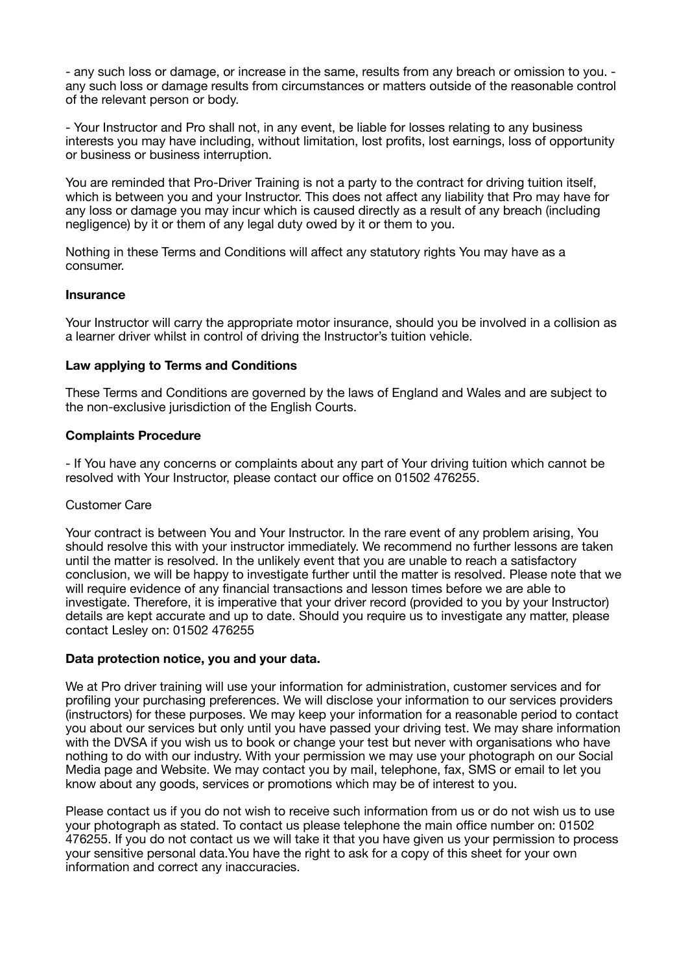- any such loss or damage, or increase in the same, results from any breach or omission to you. any such loss or damage results from circumstances or matters outside of the reasonable control of the relevant person or body.

- Your Instructor and Pro shall not, in any event, be liable for losses relating to any business interests you may have including, without limitation, lost profits, lost earnings, loss of opportunity or business or business interruption.

You are reminded that Pro-Driver Training is not a party to the contract for driving tuition itself, which is between you and your Instructor. This does not affect any liability that Pro may have for any loss or damage you may incur which is caused directly as a result of any breach (including negligence) by it or them of any legal duty owed by it or them to you.

Nothing in these Terms and Conditions will affect any statutory rights You may have as a consumer.

### **Insurance**

Your Instructor will carry the appropriate motor insurance, should you be involved in a collision as a learner driver whilst in control of driving the Instructor's tuition vehicle.

# **Law applying to Terms and Conditions**

These Terms and Conditions are governed by the laws of England and Wales and are subject to the non-exclusive jurisdiction of the English Courts.

# **Complaints Procedure**

- If You have any concerns or complaints about any part of Your driving tuition which cannot be resolved with Your Instructor, please contact our office on 01502 476255.

### Customer Care

Your contract is between You and Your Instructor. In the rare event of any problem arising, You should resolve this with your instructor immediately. We recommend no further lessons are taken until the matter is resolved. In the unlikely event that you are unable to reach a satisfactory conclusion, we will be happy to investigate further until the matter is resolved. Please note that we will require evidence of any financial transactions and lesson times before we are able to investigate. Therefore, it is imperative that your driver record (provided to you by your Instructor) details are kept accurate and up to date. Should you require us to investigate any matter, please contact Lesley on: 01502 476255

### **Data protection notice, you and your data.**

We at Pro driver training will use your information for administration, customer services and for profiling your purchasing preferences. We will disclose your information to our services providers (instructors) for these purposes. We may keep your information for a reasonable period to contact you about our services but only until you have passed your driving test. We may share information with the DVSA if you wish us to book or change your test but never with organisations who have nothing to do with our industry. With your permission we may use your photograph on our Social Media page and Website. We may contact you by mail, telephone, fax, SMS or email to let you know about any goods, services or promotions which may be of interest to you.

Please contact us if you do not wish to receive such information from us or do not wish us to use your photograph as stated. To contact us please telephone the main office number on: 01502 476255. If you do not contact us we will take it that you have given us your permission to process your sensitive personal data.You have the right to ask for a copy of this sheet for your own information and correct any inaccuracies.